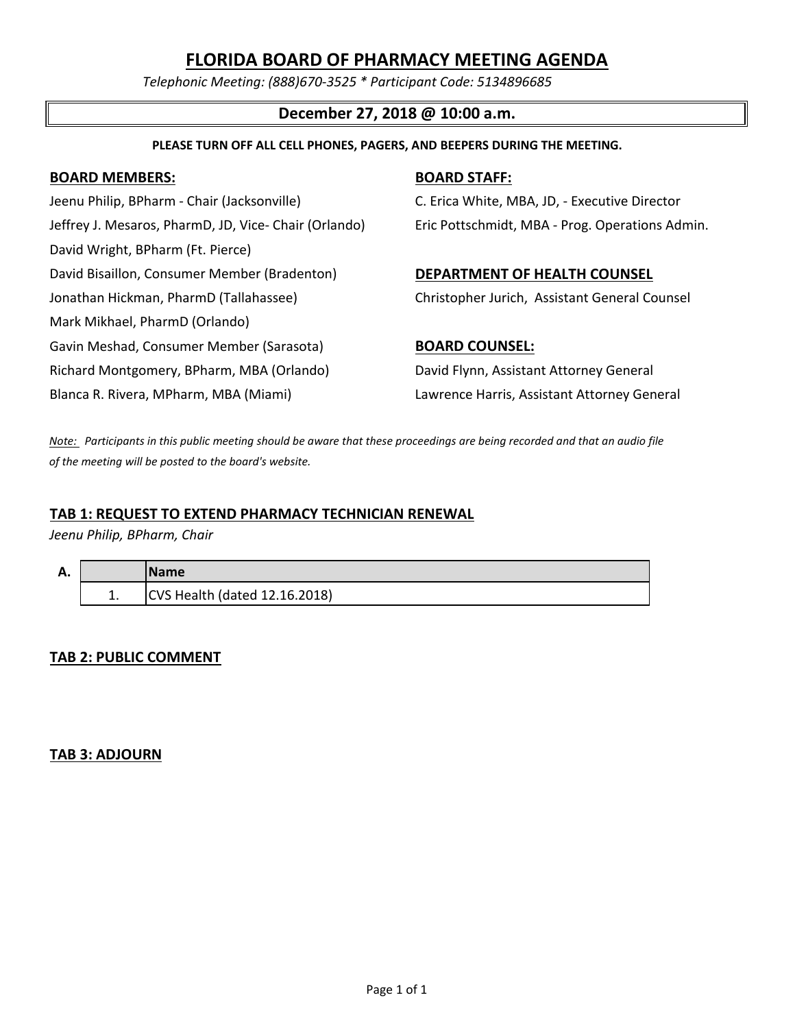# **FLORIDA BOARD OF PHARMACY MEETING AGENDA**

*Telephonic Meeting: (888)670-3525 \* Participant Code: 5134896685*

### **December 27, 2018 @ 10:00 a.m.**

#### **PLEASE TURN OFF ALL CELL PHONES, PAGERS, AND BEEPERS DURING THE MEETING.**

#### **BOARD MEMBERS: BOARD STAFF:**

Jeenu Philip, BPharm - Chair (Jacksonville) C. Erica White, MBA, JD, - Executive Director Jeffrey J. Mesaros, PharmD, JD, Vice- Chair (Orlando) Eric Pottschmidt, MBA - Prog. Operations Admin. David Wright, BPharm (Ft. Pierce) David Bisaillon, Consumer Member (Bradenton) **DEPARTMENT OF HEALTH COUNSEL** Jonathan Hickman, PharmD (Tallahassee) Christopher Jurich, Assistant General Counsel Mark Mikhael, PharmD (Orlando) Gavin Meshad, Consumer Member (Sarasota) **BOARD COUNSEL:** Richard Montgomery, BPharm, MBA (Orlando) David Flynn, Assistant Attorney General Blanca R. Rivera, MPharm, MBA (Miami) Lawrence Harris, Assistant Attorney General

*Note: Participants in this public meeting should be aware that these proceedings are being recorded and that an audio file of the meeting will be posted to the board's website.*

#### **TAB 1: REQUEST TO EXTEND PHARMACY TECHNICIAN RENEWAL**

*Jeenu Philip, BPharm, Chair*

| А. |     | Name                          |
|----|-----|-------------------------------|
|    | . . | CVS Health (dated 12.16.2018) |

### **TAB 2: PUBLIC COMMENT**

### **TAB 3: ADJOURN**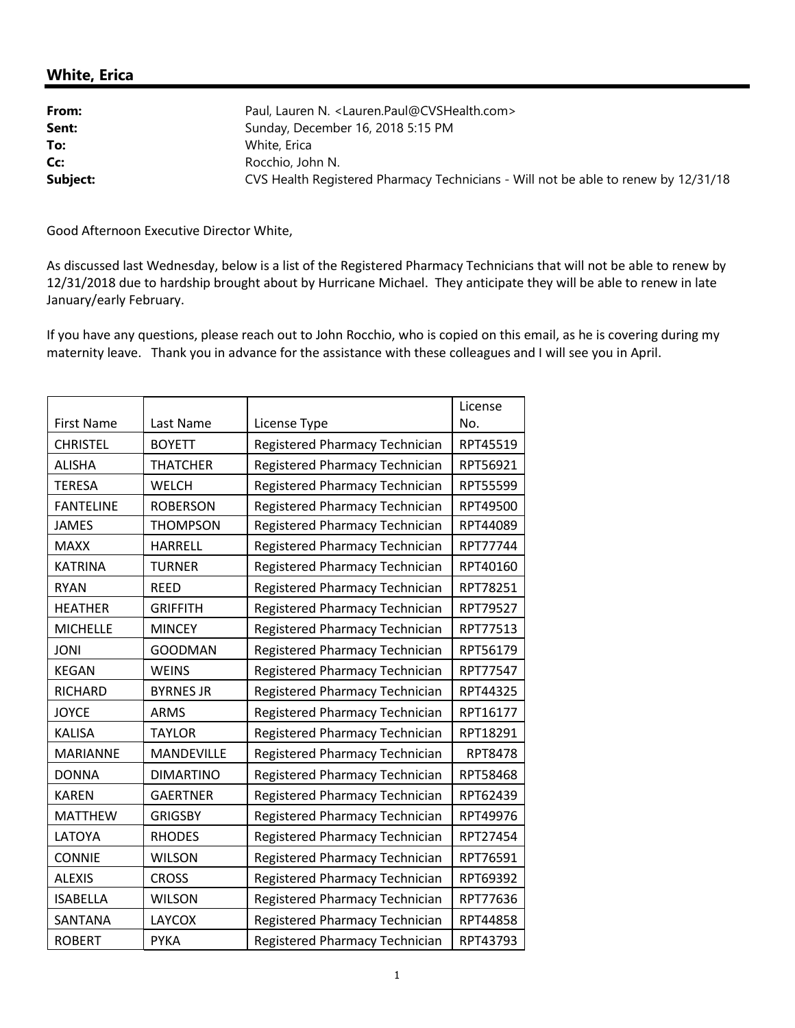## **White, Erica**

| From:    | Paul, Lauren N. <lauren.paul@cvshealth.com></lauren.paul@cvshealth.com>            |
|----------|------------------------------------------------------------------------------------|
| Sent:    | Sunday, December 16, 2018 5:15 PM                                                  |
| To:      | White, Erica                                                                       |
| Cc:      | Rocchio, John N.                                                                   |
| Subject: | CVS Health Registered Pharmacy Technicians - Will not be able to renew by 12/31/18 |

Good Afternoon Executive Director White,

As discussed last Wednesday, below is a list of the Registered Pharmacy Technicians that will not be able to renew by 12/31/2018 due to hardship brought about by Hurricane Michael. They anticipate they will be able to renew in late January/early February.

If you have any questions, please reach out to John Rocchio, who is copied on this email, as he is covering during my maternity leave. Thank you in advance for the assistance with these colleagues and I will see you in April.

|                   |                   |                                       | License        |
|-------------------|-------------------|---------------------------------------|----------------|
| <b>First Name</b> | Last Name         | License Type                          | No.            |
| <b>CHRISTEL</b>   | <b>BOYETT</b>     | Registered Pharmacy Technician        | RPT45519       |
| <b>ALISHA</b>     | <b>THATCHER</b>   | Registered Pharmacy Technician        | RPT56921       |
| <b>TERESA</b>     | <b>WELCH</b>      | Registered Pharmacy Technician        | RPT55599       |
| <b>FANTELINE</b>  | <b>ROBERSON</b>   | Registered Pharmacy Technician        | RPT49500       |
| <b>JAMES</b>      | <b>THOMPSON</b>   | Registered Pharmacy Technician        | RPT44089       |
| <b>MAXX</b>       | <b>HARRELL</b>    | Registered Pharmacy Technician        | RPT77744       |
| <b>KATRINA</b>    | <b>TURNER</b>     | Registered Pharmacy Technician        | RPT40160       |
| <b>RYAN</b>       | <b>REED</b>       | Registered Pharmacy Technician        | RPT78251       |
| <b>HEATHER</b>    | <b>GRIFFITH</b>   | Registered Pharmacy Technician        | RPT79527       |
| <b>MICHELLE</b>   | <b>MINCEY</b>     | Registered Pharmacy Technician        | RPT77513       |
| <b>JONI</b>       | <b>GOODMAN</b>    | Registered Pharmacy Technician        | RPT56179       |
| <b>KEGAN</b>      | <b>WEINS</b>      | Registered Pharmacy Technician        | RPT77547       |
| <b>RICHARD</b>    | <b>BYRNES JR</b>  | <b>Registered Pharmacy Technician</b> | RPT44325       |
| <b>JOYCE</b>      | <b>ARMS</b>       | Registered Pharmacy Technician        | RPT16177       |
| <b>KALISA</b>     | <b>TAYLOR</b>     | Registered Pharmacy Technician        | RPT18291       |
| <b>MARIANNE</b>   | <b>MANDEVILLE</b> | Registered Pharmacy Technician        | <b>RPT8478</b> |
| <b>DONNA</b>      | <b>DIMARTINO</b>  | Registered Pharmacy Technician        | RPT58468       |
| <b>KAREN</b>      | <b>GAERTNER</b>   | <b>Registered Pharmacy Technician</b> | RPT62439       |
| <b>MATTHEW</b>    | <b>GRIGSBY</b>    | Registered Pharmacy Technician        | RPT49976       |
| <b>LATOYA</b>     | <b>RHODES</b>     | Registered Pharmacy Technician        | RPT27454       |
| <b>CONNIE</b>     | <b>WILSON</b>     | Registered Pharmacy Technician        | RPT76591       |
| <b>ALEXIS</b>     | <b>CROSS</b>      | Registered Pharmacy Technician        | RPT69392       |
| <b>ISABELLA</b>   | <b>WILSON</b>     | Registered Pharmacy Technician        | RPT77636       |
| <b>SANTANA</b>    | <b>LAYCOX</b>     | Registered Pharmacy Technician        | RPT44858       |
| <b>ROBERT</b>     | <b>PYKA</b>       | Registered Pharmacy Technician        | RPT43793       |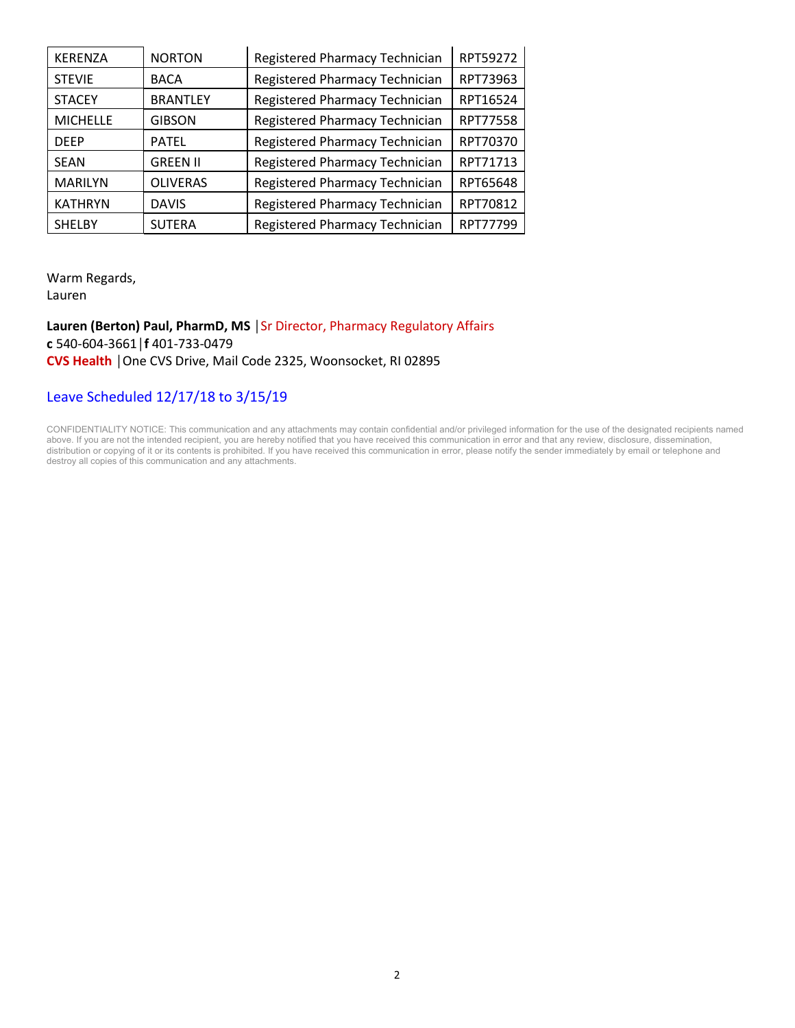| <b>KERENZA</b>  | <b>NORTON</b>   | Registered Pharmacy Technician | RPT59272 |
|-----------------|-----------------|--------------------------------|----------|
| <b>STEVIE</b>   | <b>BACA</b>     | Registered Pharmacy Technician | RPT73963 |
| <b>STACEY</b>   | <b>BRANTLEY</b> | Registered Pharmacy Technician | RPT16524 |
| <b>MICHELLE</b> | <b>GIBSON</b>   | Registered Pharmacy Technician | RPT77558 |
| <b>DFFP</b>     | <b>PATEL</b>    | Registered Pharmacy Technician | RPT70370 |
| <b>SEAN</b>     | <b>GREEN II</b> | Registered Pharmacy Technician | RPT71713 |
| <b>MARILYN</b>  | <b>OLIVERAS</b> | Registered Pharmacy Technician | RPT65648 |
| <b>KATHRYN</b>  | <b>DAVIS</b>    | Registered Pharmacy Technician | RPT70812 |
| <b>SHELBY</b>   | <b>SUTERA</b>   | Registered Pharmacy Technician | RPT77799 |

Warm Regards, Lauren

**Lauren (Berton) Paul, PharmD, MS** │Sr Director, Pharmacy Regulatory Affairs **c** 540-604-3661│**f** 401-733-0479 **CVS Health** │One CVS Drive, Mail Code 2325, Woonsocket, RI 02895

### Leave Scheduled 12/17/18 to 3/15/19

CONFIDENTIALITY NOTICE: This communication and any attachments may contain confidential and/or privileged information for the use of the designated recipients named above. If you are not the intended recipient, you are hereby notified that you have received this communication in error and that any review, disclosure, dissemination, distribution or copying of it or its contents is prohibited. If you have received this communication in error, please notify the sender immediately by email or telephone and destroy all copies of this communication and any attachments.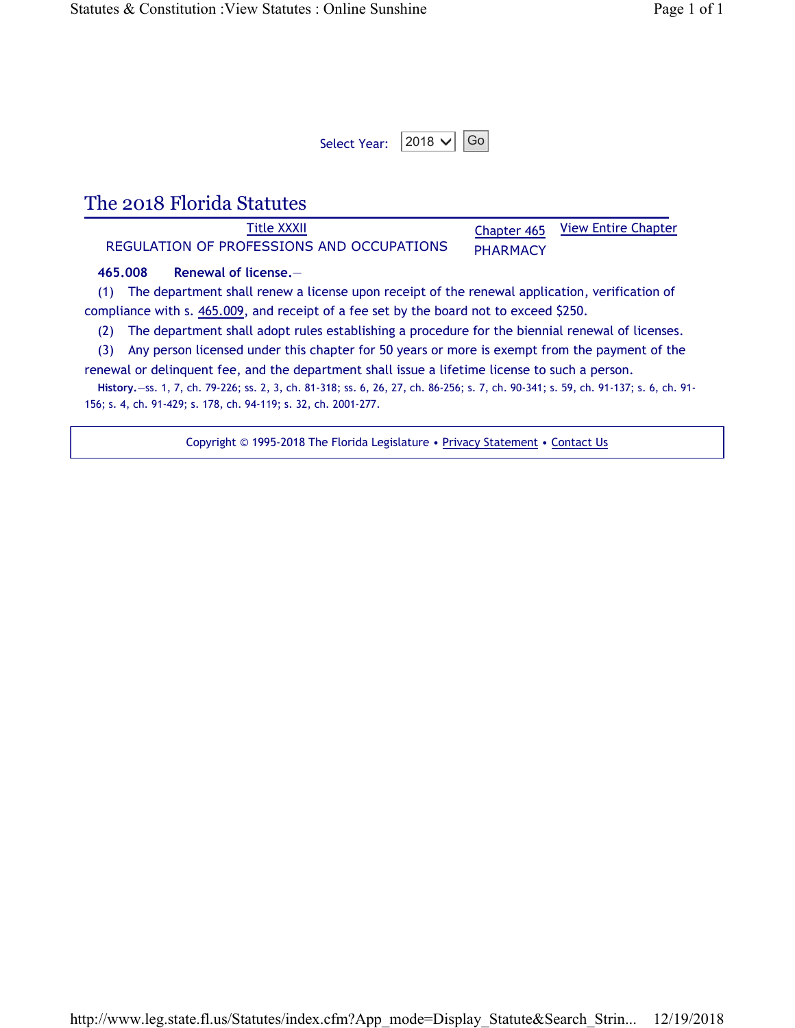| Select Year: $2018 \times  $ Go |  |  |
|---------------------------------|--|--|
|---------------------------------|--|--|

# The 2018 Florida Statutes

Title XXXII REGULATION OF PROFESSIONS AND OCCUPATIONS Chapter 465 PHARMACY View Entire Chapter

#### **465.008 Renewal of license.**—

(1) The department shall renew a license upon receipt of the renewal application, verification of compliance with s. 465.009, and receipt of a fee set by the board not to exceed \$250.

(2) The department shall adopt rules establishing a procedure for the biennial renewal of licenses.

(3) Any person licensed under this chapter for 50 years or more is exempt from the payment of the renewal or delinquent fee, and the department shall issue a lifetime license to such a person.

**History.**—ss. 1, 7, ch. 79-226; ss. 2, 3, ch. 81-318; ss. 6, 26, 27, ch. 86-256; s. 7, ch. 90-341; s. 59, ch. 91-137; s. 6, ch. 91- 156; s. 4, ch. 91-429; s. 178, ch. 94-119; s. 32, ch. 2001-277.

Copyright © 1995-2018 The Florida Legislature • Privacy Statement • Contact Us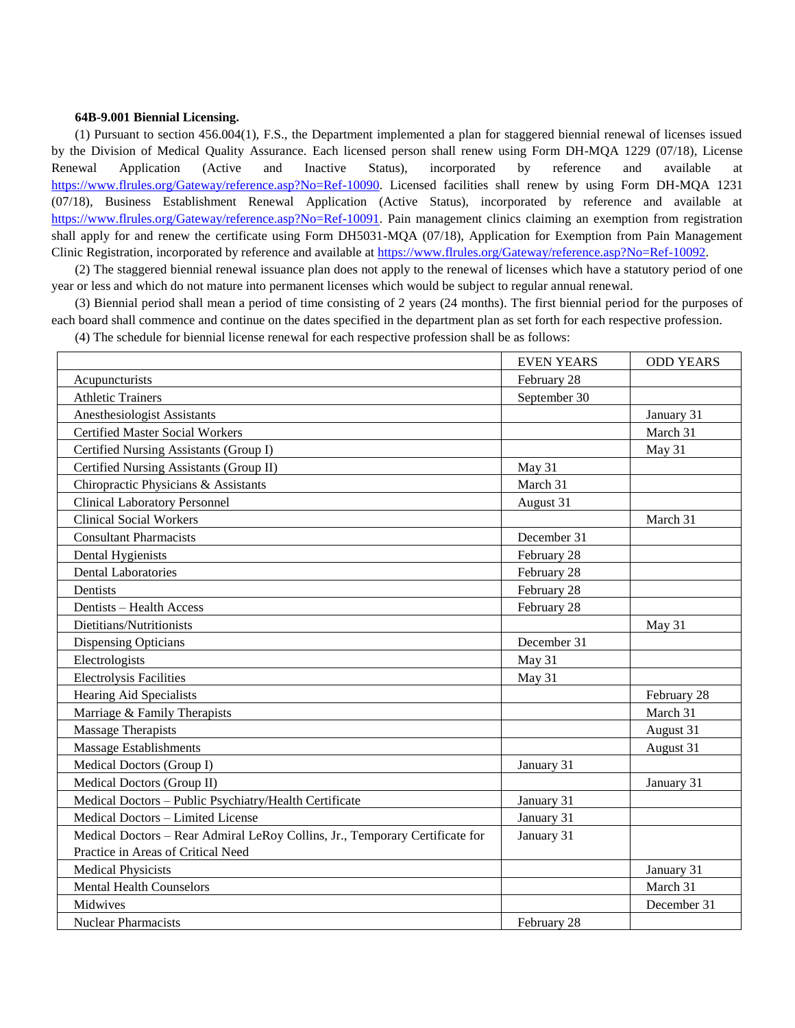#### **64B-9.001 Biennial Licensing.**

(1) Pursuant to section 456.004(1), F.S., the Department implemented a plan for staggered biennial renewal of licenses issued by the Division of Medical Quality Assurance. Each licensed person shall renew using Form DH-MQA 1229 (07/18), License Renewal Application (Active and Inactive Status), incorporated by reference and available at [https://www.flrules.org/Gateway/reference.asp?No=Ref-10090.](https://www.flrules.org/Gateway/reference.asp?No=Ref-10090) Licensed facilities shall renew by using Form DH-MQA 1231 (07/18), Business Establishment Renewal Application (Active Status), incorporated by reference and available at [https://www.flrules.org/Gateway/reference.asp?No=Ref-10091.](https://www.flrules.org/Gateway/reference.asp?No=Ref-10091) Pain management clinics claiming an exemption from registration shall apply for and renew the certificate using Form DH5031-MQA (07/18), Application for Exemption from Pain Management Clinic Registration, incorporated by reference and available at [https://www.flrules.org/Gateway/reference.asp?No=Ref-10092.](https://www.flrules.org/Gateway/reference.asp?No=Ref-10092)

(2) The staggered biennial renewal issuance plan does not apply to the renewal of licenses which have a statutory period of one year or less and which do not mature into permanent licenses which would be subject to regular annual renewal.

(3) Biennial period shall mean a period of time consisting of 2 years (24 months). The first biennial period for the purposes of each board shall commence and continue on the dates specified in the department plan as set forth for each respective profession.

(4) The schedule for biennial license renewal for each respective profession shall be as follows:

|                                                                              | <b>EVEN YEARS</b> | <b>ODD YEARS</b> |
|------------------------------------------------------------------------------|-------------------|------------------|
| Acupuncturists                                                               | February 28       |                  |
| <b>Athletic Trainers</b>                                                     | September 30      |                  |
| Anesthesiologist Assistants                                                  |                   | January 31       |
| <b>Certified Master Social Workers</b>                                       |                   | March 31         |
| Certified Nursing Assistants (Group I)                                       |                   | May 31           |
| Certified Nursing Assistants (Group II)                                      | May 31            |                  |
| Chiropractic Physicians & Assistants                                         | March 31          |                  |
| <b>Clinical Laboratory Personnel</b>                                         | August 31         |                  |
| <b>Clinical Social Workers</b>                                               |                   | March 31         |
| <b>Consultant Pharmacists</b>                                                | December 31       |                  |
| Dental Hygienists                                                            | February 28       |                  |
| <b>Dental Laboratories</b>                                                   | February 28       |                  |
| Dentists                                                                     | February 28       |                  |
| Dentists - Health Access                                                     | February 28       |                  |
| Dietitians/Nutritionists                                                     |                   | May 31           |
| <b>Dispensing Opticians</b>                                                  | December 31       |                  |
| Electrologists                                                               | May 31            |                  |
| <b>Electrolysis Facilities</b>                                               | May 31            |                  |
| <b>Hearing Aid Specialists</b>                                               |                   | February 28      |
| Marriage & Family Therapists                                                 |                   | March 31         |
| <b>Massage Therapists</b>                                                    |                   | August 31        |
| <b>Massage Establishments</b>                                                |                   | August 31        |
| Medical Doctors (Group I)                                                    | January 31        |                  |
| Medical Doctors (Group II)                                                   |                   | January 31       |
| Medical Doctors - Public Psychiatry/Health Certificate                       | January 31        |                  |
| Medical Doctors - Limited License                                            | January 31        |                  |
| Medical Doctors - Rear Admiral LeRoy Collins, Jr., Temporary Certificate for | January 31        |                  |
| Practice in Areas of Critical Need                                           |                   |                  |
| <b>Medical Physicists</b>                                                    |                   | January 31       |
| <b>Mental Health Counselors</b>                                              |                   | March 31         |
| Midwives                                                                     |                   | December 31      |
| <b>Nuclear Pharmacists</b>                                                   | February 28       |                  |